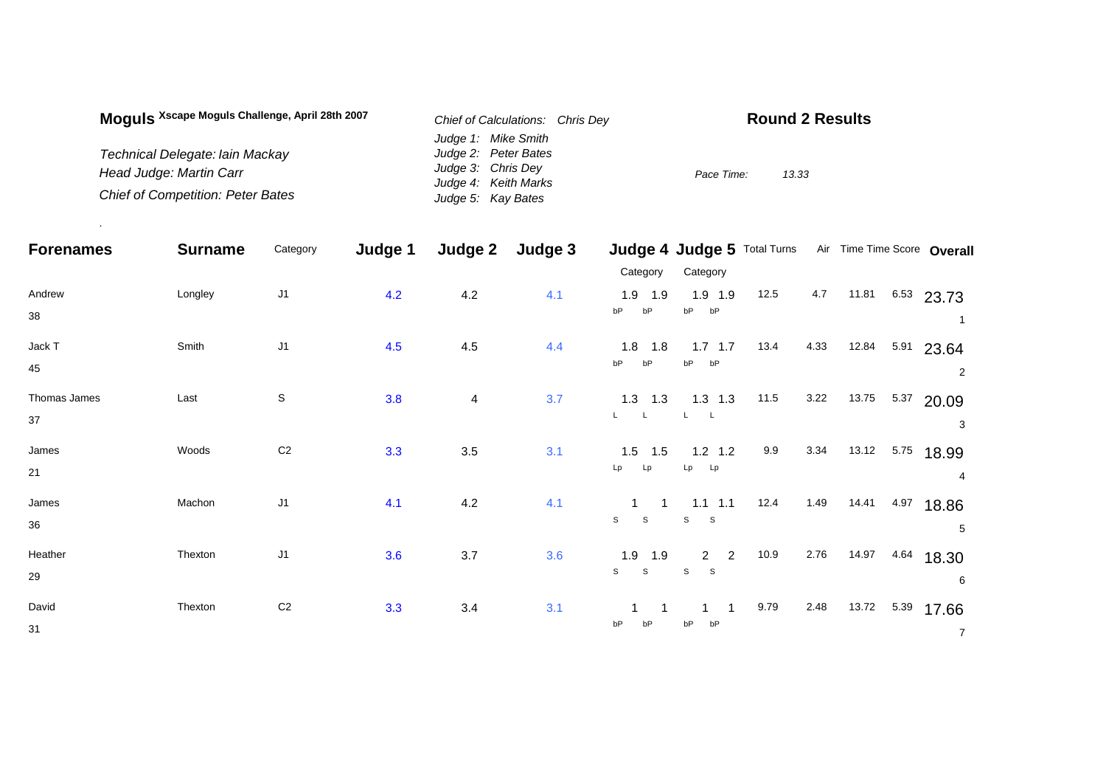| Moquis Xscape Moguis Challenge, April 28th 2007 | Chief of Calculations: Chris Dev           | <b>Round 2 Results</b> |
|-------------------------------------------------|--------------------------------------------|------------------------|
|                                                 | Judge 1: Mike Smith                        |                        |
| Technical Delegate: Iain Mackay                 | Judge 2: Peter Bates                       |                        |
| Head Judge: Martin Carr                         | Judge 3: Chris Dev<br>Judge 4: Keith Marks | Pace Time:<br>13.33    |
| <b>Chief of Competition: Peter Bates</b>        | Judge 5: Kay Bates                         |                        |

.

| <b>Forenames</b>   | <b>Surname</b> | Category       | Judge 1 | Judge 2 | Judge 3 | Category                                     | Judge 4 Judge 5 Total Turns Air Time Time Score Overall<br>Category |      |      |       |      |                         |
|--------------------|----------------|----------------|---------|---------|---------|----------------------------------------------|---------------------------------------------------------------------|------|------|-------|------|-------------------------|
| Andrew<br>38       | Longley        | J <sub>1</sub> | 4.2     | 4.2     | 4.1     | $1.9$ 1.9<br>bP<br>bP                        | $1.9$ 1.9<br>bP<br>bP                                               | 12.5 | 4.7  | 11.81 |      | $6.53$ 23.73<br>-1      |
| Jack T<br>45       | Smith          | J <sub>1</sub> | 4.5     | 4.5     | 4.4     | $1.8$ 1.8<br>bP<br>bP                        | $1.7$ 1.7<br>bP<br>bP                                               | 13.4 | 4.33 | 12.84 | 5.91 | 23.64<br>$\overline{2}$ |
| Thomas James<br>37 | Last           | $\mathbb S$    | 3.8     | 4       | 3.7     | $1.3$ $1.3$<br>L<br>$\mathsf{L}$             | $1.3$ 1.3                                                           | 11.5 | 3.22 | 13.75 | 5.37 | 20.09<br>3              |
| James<br>21        | Woods          | $\mathbb{C}2$  | 3.3     | 3.5     | 3.1     | $1.5$ 1.5<br>Lp<br>Lp                        | $1.2$ 1.2<br>Lp<br>Lp                                               | 9.9  | 3.34 | 13.12 | 5.75 | 18.99<br>4              |
| James<br>36        | Machon         | J <sub>1</sub> | 4.1     | 4.2     | 4.1     | $\overline{1}$<br>$\mathbb S$<br>$\mathbb S$ | $1.1 \quad 1.1$<br>S<br>S                                           | 12.4 | 1.49 | 14.41 | 4.97 | 18.86<br>5              |
| Heather<br>29      | Thexton        | J <sub>1</sub> | 3.6     | 3.7     | 3.6     | $1.9$ 1.9<br>$\mathsf{s}$<br>$\mathsf{s}$    | $2 \quad 2$<br>S<br>S                                               | 10.9 | 2.76 | 14.97 | 4.64 | 18.30<br>6              |
| David<br>31        | Thexton        | C <sub>2</sub> | 3.3     | 3.4     | 3.1     | bP                                           | bP<br>bP                                                            | 9.79 | 2.48 | 13.72 | 5.39 | 17.66<br>$\overline{7}$ |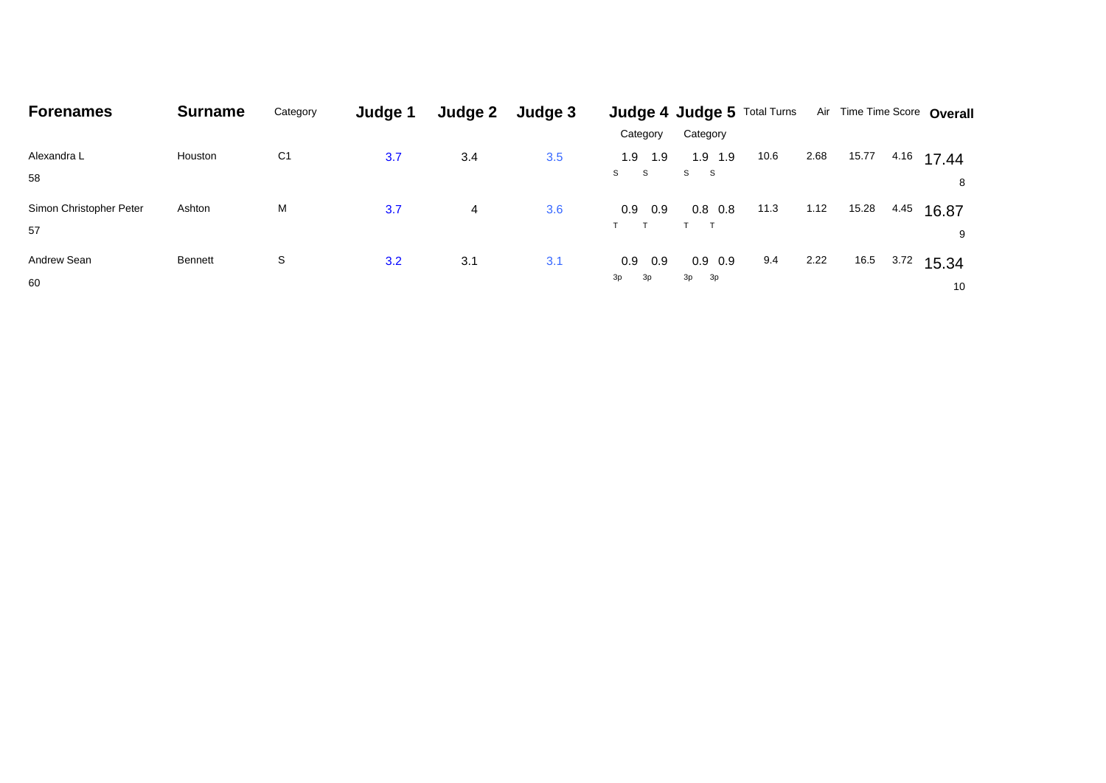| <b>Forenames</b>              | <b>Surname</b> | Category       | Judge 1 | Judge 2 | Judge 3 |                               | <b>Judge 4 Judge 5 Total Turns</b> |      |      |       |      | Air Time Time Score Overall |
|-------------------------------|----------------|----------------|---------|---------|---------|-------------------------------|------------------------------------|------|------|-------|------|-----------------------------|
|                               |                |                |         |         |         | Category                      | Category                           |      |      |       |      |                             |
| Alexandra L<br>58             | Houston        | C <sub>1</sub> | 3.7     | 3.4     | 3.5     | 1.9<br>1.9<br><b>S</b><br>S.  | $1.9$ 1.9<br>S <sub>st</sub><br>-S | 10.6 | 2.68 | 15.77 | 4.16 | 17.44<br>8                  |
| Simon Christopher Peter<br>57 | Ashton         | М              | 3.7     | 4       | 3.6     | 0.9<br>0.9<br>$\mathbf{\tau}$ | $0.8\ 0.8$                         | 11.3 | 1.12 | 15.28 | 4.45 | 16.87<br>9                  |
| Andrew Sean<br>60             | <b>Bennett</b> | S              | 3.2     | 3.1     | 3.1     | 0.9<br>0.9<br>3p<br>3p        | $0.9\quad0.9$<br>3p 3p             | 9.4  | 2.22 | 16.5  | 3.72 | 15.34<br>10                 |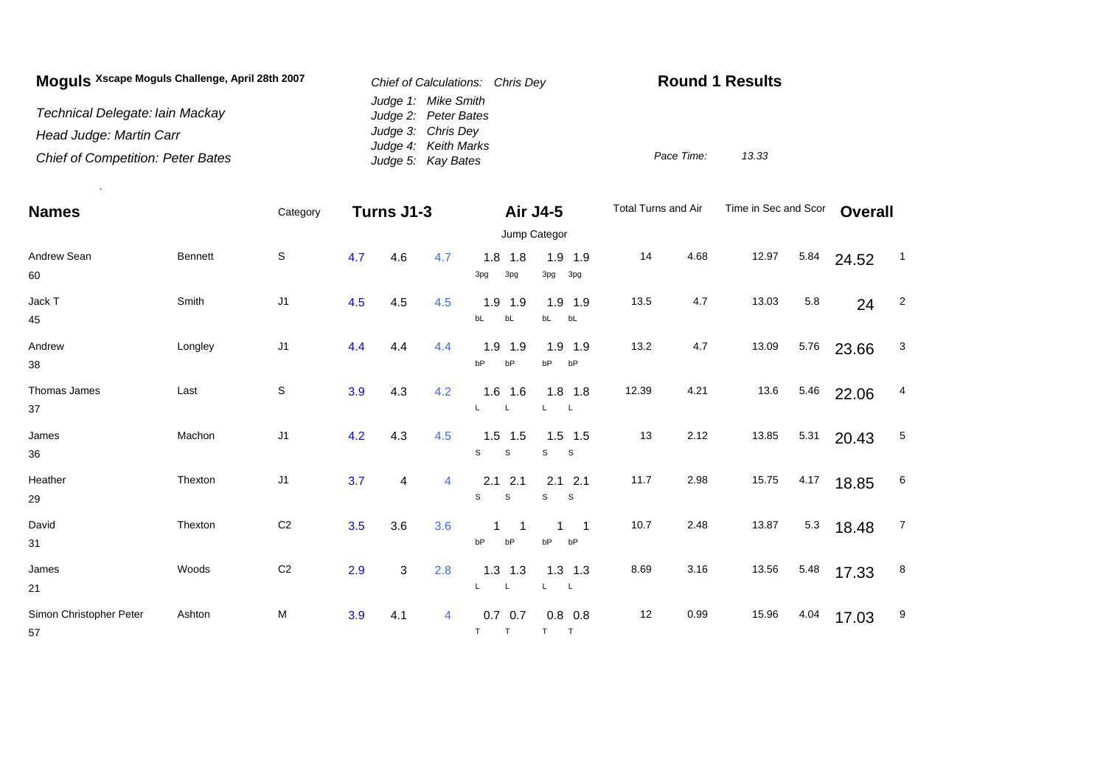| Moguls Xscape Moguls Challenge, April 28th 2007 | Chief of Calculations: Chris Dev            | <b>Round 1 Results</b> |       |  |  |  |
|-------------------------------------------------|---------------------------------------------|------------------------|-------|--|--|--|
| Technical Delegate: Iain Mackay                 | Judge 1: Mike Smith<br>Judge 2: Peter Bates |                        |       |  |  |  |
| Head Judge: Martin Carr                         | Judge 3: Chris Dey<br>Judge 4: Keith Marks  |                        |       |  |  |  |
| <b>Chief of Competition: Peter Bates</b>        | Judge 5: Kay Bates                          | Pace Time:             | 13.33 |  |  |  |

.

| <b>Names</b>                  |                | Category       |     | Turns J1-3 |                |                                     | Air J4-5                | Total Turns and Air |      | Time in Sec and Scor |      | <b>Overall</b> |                 |
|-------------------------------|----------------|----------------|-----|------------|----------------|-------------------------------------|-------------------------|---------------------|------|----------------------|------|----------------|-----------------|
|                               |                |                |     |            |                |                                     | Jump Categor            |                     |      |                      |      |                |                 |
| Andrew Sean<br>60             | <b>Bennett</b> | S              | 4.7 | 4.6        | 4.7            | $1.8$ 1.8<br>3pg<br>3pg             | $1.9$ 1.9<br>3pg<br>3pg | 14                  | 4.68 | 12.97                | 5.84 | 24.52          | $\overline{1}$  |
| Jack T<br>45                  | Smith          | J <sub>1</sub> | 4.5 | 4.5        | 4.5            | 1.9<br>1.9<br>bL<br>bL              | $1.9$ 1.9<br>bL<br>bL   | 13.5                | 4.7  | 13.03                | 5.8  | 24             | $\overline{2}$  |
| Andrew<br>38                  | Longley        | J <sub>1</sub> | 4.4 | 4.4        | 4.4            | 1.9<br>1.9<br>bP<br>bP              | $1.9$ 1.9<br>bP<br>bP   | 13.2                | 4.7  | 13.09                | 5.76 | 23.66          | 3               |
| Thomas James<br>37            | Last           | S              | 3.9 | 4.3        | 4.2            | $1.6$ 1.6<br>L                      | $1.8$ 1.8<br>L          | 12.39               | 4.21 | 13.6                 | 5.46 | 22.06          | 4               |
| James<br>36                   | Machon         | J <sub>1</sub> | 4.2 | 4.3        | 4.5            | $1.5$ 1.5<br>S<br>S                 | $1.5$ 1.5<br>S<br>S     | 13                  | 2.12 | 13.85                | 5.31 | 20.43          | 5               |
| Heather<br>29                 | Thexton        | J <sub>1</sub> | 3.7 | 4          | $\overline{4}$ | 2.1<br>2.1<br>S<br>$\mathsf s$      | $2.1$ 2.1<br>S<br>S     | 11.7                | 2.98 | 15.75                | 4.17 | 18.85          | $6\phantom{.}6$ |
| David<br>31                   | Thexton        | C <sub>2</sub> | 3.5 | 3.6        | 3.6            | 1<br>bP<br>bP                       | -1<br>1<br>bP<br>bP     | 10.7                | 2.48 | 13.87                | 5.3  | 18.48          | $\overline{7}$  |
| James<br>21                   | Woods          | C <sub>2</sub> | 2.9 | 3          | 2.8            | $1.3$ 1.3<br>$\mathsf{L}$<br>L.     | $1.3$ 1.3<br>L<br>L     | 8.69                | 3.16 | 13.56                | 5.48 | 17.33          | 8               |
| Simon Christopher Peter<br>57 | Ashton         | M              | 3.9 | 4.1        | 4              | $0.7\quad 0.7$<br>T.<br>$\mathsf T$ | $0.8\ 0.8$<br>T<br>T    | 12                  | 0.99 | 15.96                | 4.04 | 17.03          | 9               |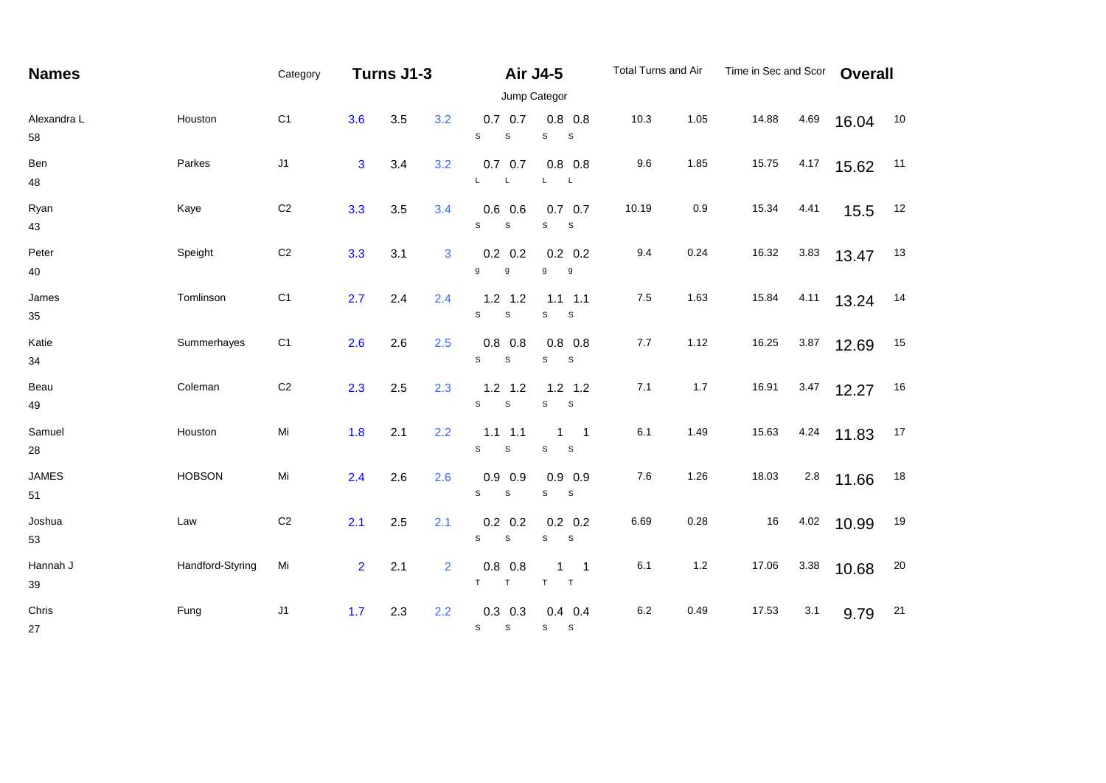| <b>Names</b>       |                  | Category       |                | Turns J1-3 |                |                                           | Air J4-5                                  | Total Turns and Air |       | Time in Sec and Scor |      | <b>Overall</b> |    |
|--------------------|------------------|----------------|----------------|------------|----------------|-------------------------------------------|-------------------------------------------|---------------------|-------|----------------------|------|----------------|----|
|                    |                  |                |                |            |                |                                           | Jump Categor                              |                     |       |                      |      |                |    |
| Alexandra L<br>58  | Houston          | C <sub>1</sub> | 3.6            | 3.5        | 3.2            | $0.7\quad 0.7$<br>S<br>$\mathsf S$        | $0.8\ 0.8$<br>S<br>$\mathsf S$            | 10.3                | 1.05  | 14.88                | 4.69 | 16.04          | 10 |
| Ben<br>48          | Parkes           | J1             | $\mathbf{3}$   | 3.4        | 3.2            | $0.7\ 0.7$<br>L.<br>L                     | $0.8$ 0.8<br>$\mathsf{L}$<br>$\mathsf{L}$ | 9.6                 | 1.85  | 15.75                | 4.17 | 15.62          | 11 |
| Ryan<br>43         | Kaye             | $\mbox{C2}$    | 3.3            | 3.5        | 3.4            | 0.6<br>0.6<br>$\mathsf{s}$<br>$\mathsf S$ | $0.7\quad 0.7$<br>S<br>$\mathsf S$        | 10.19               | 0.9   | 15.34                | 4.41 | 15.5           | 12 |
| Peter<br>40        | Speight          | $\mbox{C2}$    | 3.3            | 3.1        | 3              | $0.2$ 0.2<br>g<br>g                       | $0.2 \quad 0.2$<br>g<br>g                 | 9.4                 | 0.24  | 16.32                | 3.83 | 13.47          | 13 |
| James<br>35        | Tomlinson        | C <sub>1</sub> | 2.7            | 2.4        | 2.4            | $1.2$ 1.2<br>$\mathbb S$<br>$\mathbb S$   | $1.1$ 1.1<br>S<br>$\mathsf S$             | $7.5$               | 1.63  | 15.84                | 4.11 | 13.24          | 14 |
| Katie<br>34        | Summerhayes      | C <sub>1</sub> | 2.6            | 2.6        | 2.5            | $0.8$ 0.8<br>S<br>$\mathsf S$             | $0.8$ 0.8<br>S<br>S                       | $7.7$               | 1.12  | 16.25                | 3.87 | 12.69          | 15 |
| Beau<br>49         | Coleman          | $\mbox{C2}$    | 2.3            | 2.5        | 2.3            | $1.2$ 1.2<br>$\mathbb S$<br>S             | $1.2$ 1.2<br>S<br>$\mathbb S$             | 7.1                 | 1.7   | 16.91                | 3.47 | 12.27          | 16 |
| Samuel<br>28       | Houston          | Mi             | 1.8            | 2.1        | 2.2            | $1.1$ $1.1$<br>$\mathbb S$<br>S           | $\overline{\phantom{0}}$ 1<br>1<br>S<br>S | 6.1                 | 1.49  | 15.63                |      | $4.24$ 11.83   | 17 |
| <b>JAMES</b><br>51 | <b>HOBSON</b>    | Mi             | 2.4            | 2.6        | 2.6            | $0.9$ 0.9<br>S<br>$\mathbb S$             | $0.9$ 0.9<br>s<br>S                       | 7.6                 | 1.26  | 18.03                | 2.8  | 11.66          | 18 |
| Joshua<br>53       | Law              | C <sub>2</sub> | 2.1            | 2.5        | 2.1            | $0.2\ 0.2$<br>S<br>$\mathsf S$            | $0.2 \quad 0.2$<br>S<br>$\mathbf{s}$      | 6.69                | 0.28  | 16                   | 4.02 | 10.99          | 19 |
| Hannah J<br>$39\,$ | Handford-Styring | Mi             | $\overline{2}$ | 2.1        | $\overline{2}$ | $0.8$ 0.8<br>T<br>T                       | $\overline{\mathbf{1}}$<br>1<br>T<br>T    | 6.1                 | $1.2$ | 17.06                | 3.38 | 10.68          | 20 |
| Chris<br>27        | Fung             | J1             | 1.7            | 2.3        | 2.2            | $0.3$ 0.3<br>$\mathbb S$<br>S             | $0.4$ 0.4<br>S<br>$\mathbf{s}$            | 6.2                 | 0.49  | 17.53                | 3.1  | 9.79           | 21 |